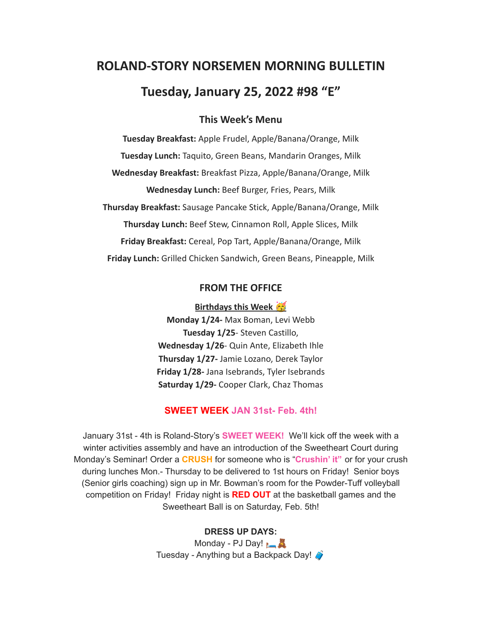# **ROLAND-STORY NORSEMEN MORNING BULLETIN Tuesday, January 25, 2022 #98 "E"**

# **This Week's Menu**

**Tuesday Breakfast:** Apple Frudel, Apple/Banana/Orange, Milk **Tuesday Lunch:** Taquito, Green Beans, Mandarin Oranges, Milk **Wednesday Breakfast:** Breakfast Pizza, Apple/Banana/Orange, Milk **Wednesday Lunch:** Beef Burger, Fries, Pears, Milk **Thursday Breakfast:** Sausage Pancake Stick, Apple/Banana/Orange, Milk **Thursday Lunch:** Beef Stew, Cinnamon Roll, Apple Slices, Milk **Friday Breakfast:** Cereal, Pop Tart, Apple/Banana/Orange, Milk **Friday Lunch:** Grilled Chicken Sandwich, Green Beans, Pineapple, Milk

# **FROM THE OFFICE**

**Birthdays this Week** 

**Monday 1/24-** Max Boman, Levi Webb **Tuesday 1/25**- Steven Castillo, **Wednesday 1/26**- Quin Ante, Elizabeth Ihle **Thursday 1/27-** Jamie Lozano, Derek Taylor **Friday 1/28-** Jana Isebrands, Tyler Isebrands **Saturday 1/29-** Cooper Clark, Chaz Thomas

## **SWEET WEEK JAN 31st- Feb. 4th!**

January 31st - 4th is Roland-Story's **SWEET WEEK!** We'll kick off the week with a winter activities assembly and have an introduction of the Sweetheart Court during Monday's Seminar! Order a **CRUSH** for someone who is "**Crushin' it"** or for your crush during lunches Mon.- Thursday to be delivered to 1st hours on Friday! Senior boys (Senior girls coaching) sign up in Mr. Bowman's room for the Powder-Tuff volleyball competition on Friday! Friday night is **RED OUT** at the basketball games and the Sweetheart Ball is on Saturday, Feb. 5th!

#### **DRESS UP DAYS:**

Monday - PJ Day! Tuesday - Anything but a Backpack Day!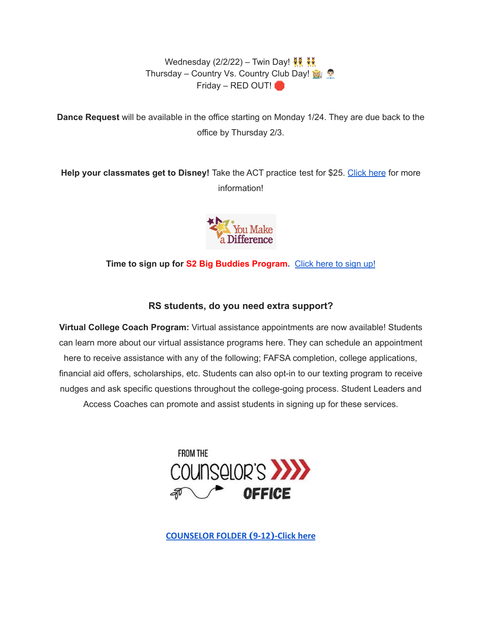Wednesday (2/2/22) – Twin Day!  $\frac{200}{300}$ Thursday – Country Vs. Country Club Day! Friday – RED OUT!

**Dance Request** will be available in the office starting on Monday 1/24. They are due back to the office by Thursday 2/3.

**Help your classmates get to Disney!** Take the ACT practice test for \$25. [Click](https://drive.google.com/file/d/1oPqWQ0VvsIc-NVR9cIZGWUySp5CiMbtD/view?usp=sharing) here for more information!



**Time to sign up for S2 Big Buddies Program.** [Click](https://docs.google.com/forms/d/e/1FAIpQLScEfMWk-lsFYGzpe0Yn6ky9dqYu7j6368TGcUHByQAIutY4OA/viewform?usp=sf_link) here to sign up!

# **RS students, do you need extra support?**

**Virtual College Coach Program:** Virtual assistance appointments are now available! Students can learn more about our virtual assistance programs here. They can schedule an appointment here to receive assistance with any of the following; FAFSA completion, college applications, financial aid offers, scholarships, etc. Students can also opt-in to our texting program to receive nudges and ask specific questions throughout the college-going process. Student Leaders and Access Coaches can promote and assist students in signing up for these services.



**[COUNSELOR FOLDER](https://docs.google.com/document/d/1vmwczNPbDzXe9vFaG5LJMQ7NYDv-i4oQJHybqA65TUc/edit?usp=sharing) (9-12)-Click here**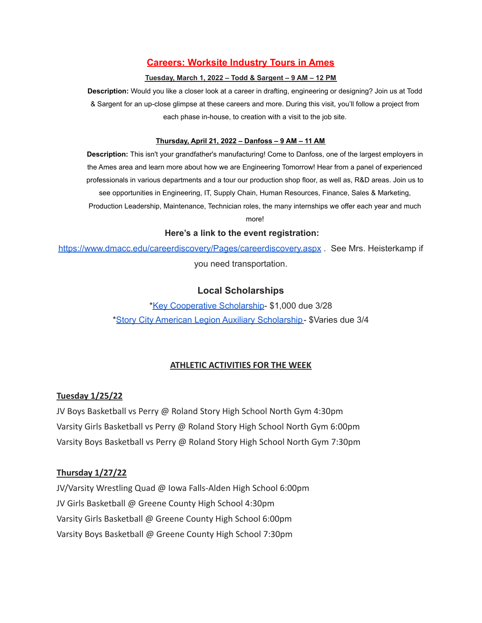# **Careers: Worksite Industry Tours in Ames**

#### **Tuesday, March 1, 2022 – Todd & Sargent – 9 AM – 12 PM**

**Description:** Would you like a closer look at a career in drafting, engineering or designing? Join us at Todd & Sargent for an up-close glimpse at these careers and more. During this visit, you'll follow a project from each phase in-house, to creation with a visit to the job site.

#### **Thursday, April 21, 2022 – Danfoss – 9 AM – 11 AM**

**Description:** This isn't your grandfather's manufacturing! Come to Danfoss, one of the largest employers in the Ames area and learn more about how we are Engineering Tomorrow! Hear from a panel of experienced professionals in various departments and a tour our production shop floor, as well as, R&D areas. Join us to see opportunities in Engineering, IT, Supply Chain, Human Resources, Finance, Sales & Marketing, Production Leadership, Maintenance, Technician roles, the many internships we offer each year and much

more!

#### **Here's a link to the event registration:**

<https://www.dmacc.edu/careerdiscovery/Pages/careerdiscovery.aspx> . See Mrs. Heisterkamp if you need transportation.

# **Local Scholarships**

\*Key [Cooperative](https://storcoopmediafilesprd.blob.core.windows.net/atlasportals/all-media/keycoope/website/documents/2021-2022-scholarship-packet.pdf) Scholarship- \$1,000 due 3/28 \*Story City American Legion Auxiliary [Scholarship-](https://docs.google.com/document/d/1mrTNcze4j66xlxg-M87WORerMOc7lhPxYQRvWYQXnBI/edit?usp=sharing) \$Varies due 3/4

## **ATHLETIC ACTIVITIES FOR THE WEEK**

## **Tuesday 1/25/22**

JV Boys Basketball vs Perry @ Roland Story High School North Gym 4:30pm Varsity Girls Basketball vs Perry @ Roland Story High School North Gym 6:00pm Varsity Boys Basketball vs Perry @ Roland Story High School North Gym 7:30pm

#### **Thursday 1/27/22**

JV/Varsity Wrestling Quad @ Iowa Falls-Alden High School 6:00pm JV Girls Basketball @ Greene County High School 4:30pm Varsity Girls Basketball @ Greene County High School 6:00pm Varsity Boys Basketball @ Greene County High School 7:30pm